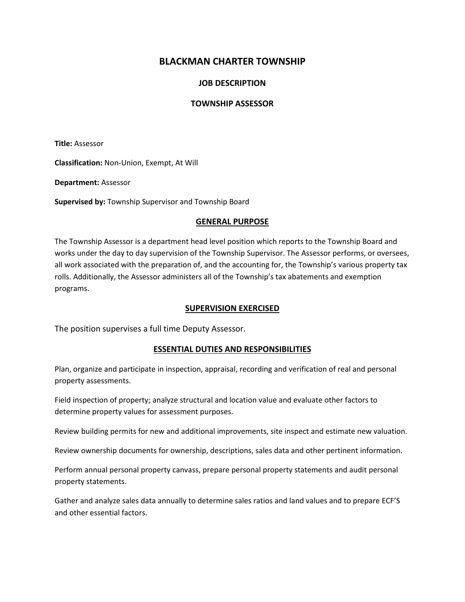# **BLACKMAN CHARTER TOWNSHIP**

## **JOB DESCRIPTION**

### **TOWNSHIP ASSESSOR**

**Title:** Assessor

**Classification:** Non-Union, Exempt, At Will

**Department:** Assessor

**Supervised by:** Township Supervisor and Township Board

#### **GENERAL PURPOSE**

The Township Assessor is a department head level position which reports to the Township Board and works under the day to day supervision of the Township Supervisor. The Assessor performs, or oversees, all work associated with the preparation of, and the accounting for, the Township's various property tax rolls. Additionally, the Assessor administers all of the Township's tax abatements and exemption programs.

#### **SUPERVISION EXERCISED**

The position supervises a full time Deputy Assessor.

### **ESSENTIAL DUTIES AND RESPONSIBILITIES**

Plan, organize and participate in inspection, appraisal, recording and verification of real and personal property assessments.

Field inspection of property; analyze structural and location value and evaluate other factors to determine property values for assessment purposes.

Review building permits for new and additional improvements, site inspect and estimate new valuation.

Review ownership documents for ownership, descriptions, sales data and other pertinent information.

Perform annual personal property canvass, prepare personal property statements and audit personal property statements.

Gather and analyze sales data annually to determine sales ratios and land values and to prepare ECF'S and other essential factors.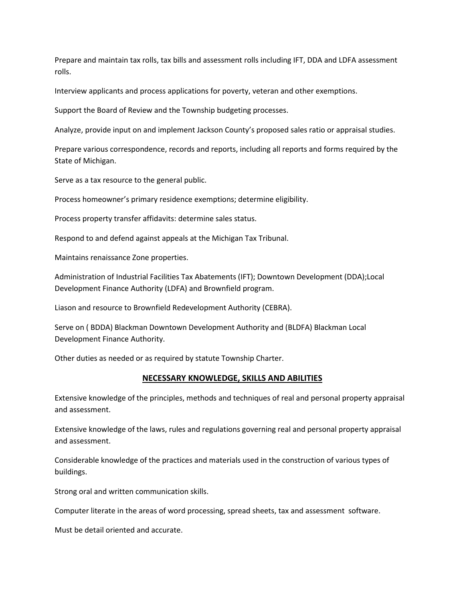Prepare and maintain tax rolls, tax bills and assessment rolls including IFT, DDA and LDFA assessment rolls.

Interview applicants and process applications for poverty, veteran and other exemptions.

Support the Board of Review and the Township budgeting processes.

Analyze, provide input on and implement Jackson County's proposed sales ratio or appraisal studies.

Prepare various correspondence, records and reports, including all reports and forms required by the State of Michigan.

Serve as a tax resource to the general public.

Process homeowner's primary residence exemptions; determine eligibility.

Process property transfer affidavits: determine sales status.

Respond to and defend against appeals at the Michigan Tax Tribunal.

Maintains renaissance Zone properties.

Administration of Industrial Facilities Tax Abatements (IFT); Downtown Development (DDA);Local Development Finance Authority (LDFA) and Brownfield program.

Liason and resource to Brownfield Redevelopment Authority (CEBRA).

Serve on ( BDDA) Blackman Downtown Development Authority and (BLDFA) Blackman Local Development Finance Authority.

Other duties as needed or as required by statute Township Charter.

#### **NECESSARY KNOWLEDGE, SKILLS AND ABILITIES**

Extensive knowledge of the principles, methods and techniques of real and personal property appraisal and assessment.

Extensive knowledge of the laws, rules and regulations governing real and personal property appraisal and assessment.

Considerable knowledge of the practices and materials used in the construction of various types of buildings.

Strong oral and written communication skills.

Computer literate in the areas of word processing, spread sheets, tax and assessment software.

Must be detail oriented and accurate.